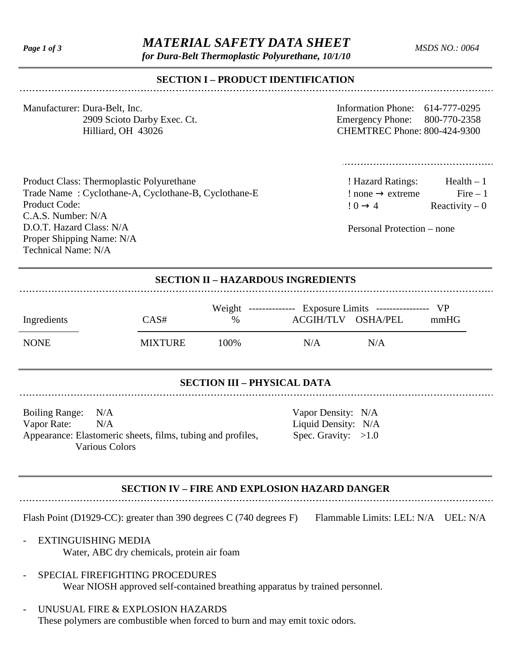# *Page 1 of 3 MATERIAL SAFETY DATA SHEET*

*for Dura-Belt Thermoplastic Polyurethane, 10/1/10*

*MSDS NO.: 0064*

## **SECTION I – PRODUCT IDENTIFICATION**

| Manufacturer: Dura-Belt, Inc. |
|-------------------------------|
| 2909 Scioto Darby Exec. Ct.   |
| Hilliard, OH 43026            |

Information Phone:  $614-777-0295$ Emergency Phone: 800-770-2358 CHEMTREC Phone: 800-424-9300

Product Class: Thermoplastic Polyurethane Trade Name : Cyclothane-A, Cyclothane-B, Cyclothane-E Product Code: C.A.S. Number: N/A D.O.T. Hazard Class: N/A Proper Shipping Name: N/A Technical Name: N/A

! Hazard Ratings: Health – 1  $: none \rightarrow extreme$  Fire – 1  $! 0 \rightarrow 4$  Reactivity – 0

Personal Protection – none

|  | <b>SECTION II - HAZARDOUS INGREDIENTS</b> |
|--|-------------------------------------------|
|--|-------------------------------------------|

|             |                | Weight -------------- Exposure Limits ---------------- VP |                                         |  |
|-------------|----------------|-----------------------------------------------------------|-----------------------------------------|--|
| Ingredients | CAS#           | $\%$                                                      | ACGIH/TLV OSHA/PEL<br>mm <sub>H</sub> G |  |
| <b>NONE</b> | <b>MIXTURE</b> | 100%                                                      | N/A<br>N/A                              |  |

#### **SECTION III – PHYSICAL DATA**

Boiling Range: N/A Vapor Density: N/A Vapor Rate:  $N/A$  Liquid Density: N/A<br>Appearance: Elastomeric sheets, films, tubing and profiles, Spec. Gravity: >1.0 Appearance: Elastomeric sheets, films, tubing and profiles, Various Colors

# **SECTION IV – FIRE AND EXPLOSION HAZARD DANGER**

Flash Point (D1929-CC): greater than 390 degrees C (740 degrees F) Flammable Limits: LEL: N/A UEL: N/A

- EXTINGUISHING MEDIA
	- Water, ABC dry chemicals, protein air foam
- SPECIAL FIREFIGHTING PROCEDURES Wear NIOSH approved self-contained breathing apparatus by trained personnel.
- UNUSUAL FIRE & EXPLOSION HAZARDS These polymers are combustible when forced to burn and may emit toxic odors.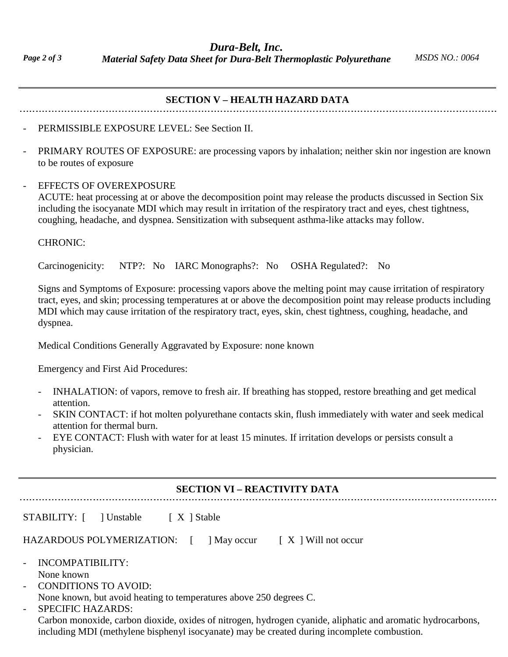*Dura-Belt, Inc. Material Safety Data Sheet for Dura-Belt Thermoplastic Polyurethane MSDS NO.: 0064*

| <b>SECTION V - HEALTH HAZARD DATA</b> |  |
|---------------------------------------|--|
|---------------------------------------|--|

#### PERMISSIBLE EXPOSURE LEVEL: See Section II.

PRIMARY ROUTES OF EXPOSURE: are processing vapors by inhalation; neither skin nor ingestion are known to be routes of exposure

#### EFFECTS OF OVEREXPOSURE

ACUTE: heat processing at or above the decomposition point may release the products discussed in Section Six including the isocyanate MDI which may result in irritation of the respiratory tract and eyes, chest tightness, coughing, headache, and dyspnea. Sensitization with subsequent asthma-like attacks may follow.

#### CHRONIC:

Carcinogenicity: NTP?: No IARC Monographs?: No OSHA Regulated?: No

Signs and Symptoms of Exposure: processing vapors above the melting point may cause irritation of respiratory tract, eyes, and skin; processing temperatures at or above the decomposition point may release products including MDI which may cause irritation of the respiratory tract, eyes, skin, chest tightness, coughing, headache, and dyspnea.

Medical Conditions Generally Aggravated by Exposure: none known

Emergency and First Aid Procedures:

- INHALATION: of vapors, remove to fresh air. If breathing has stopped, restore breathing and get medical attention.
- SKIN CONTACT: if hot molten polyurethane contacts skin, flush immediately with water and seek medical attention for thermal burn.
- EYE CONTACT: Flush with water for at least 15 minutes. If irritation develops or persists consult a physician.

### **SECTION VI – REACTIVITY DATA**

| STABILITY: [ ] Unstable<br>$\left\lceil X \right\rceil$ Stable                                                                                              |
|-------------------------------------------------------------------------------------------------------------------------------------------------------------|
| HAZARDOUS POLYMERIZATION:<br>$\vert$ May occur $\vert$ X $\vert$ Will not occur                                                                             |
| - INCOMPATIBILITY:<br>None known<br>- CONDITIONS TO AVOID:<br>None known, but avoid heating to temperatures above 250 degrees C.                            |
| <b>SPECIFIC HAZARDS:</b><br>$\mathbf{r}$<br>Contract monorities, contract distribution of situations because of contribution of an incorporation because on |

Carbon monoxide, carbon dioxide, oxides of nitrogen, hydrogen cyanide, aliphatic and aromatic hydrocarbons, including MDI (methylene bisphenyl isocyanate) may be created during incomplete combustion.